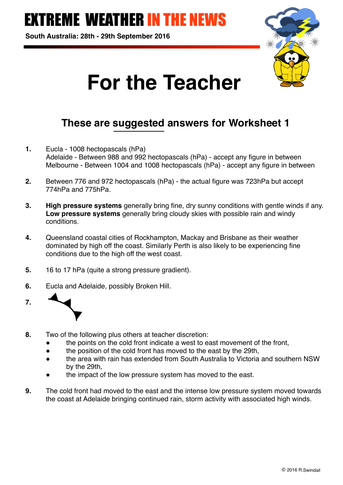## **FREME WEATHER IN THE NEWS**

**South Australia: 28th - 29th September 2016**



# **For the Teacher**

## **These are suggested answers for Worksheet 1**

- **1.** Eucla 1008 hectopascals (hPa) Adelaide - Between 988 and 992 hectopascals (hPa) - accept any figure in between Melbourne - Between 1004 and 1008 hectopascals (hPa) - accept any figure in between
- **2.** Between 776 and 972 hectopascals (hPa) the actual figure was 723hPa but accept 774hPa and 775hPa.
- **3. High pressure systems** generally bring fine, dry sunny conditions with gentle winds if any. **Low pressure systems** generally bring cloudy skies with possible rain and windy conditions.
- **4.** Queensland coastal cities of Rockhampton, Mackay and Brisbane as their weather dominated by high off the coast. Similarly Perth is also likely to be experiencing fine conditions due to the high off the west coast.
- **5.** 16 to 17 hPa (quite a strong pressure gradient).
- **6.** Eucla and Adelaide, possibly Broken Hill.
- **7.**
- **8.** Two of the following plus others at teacher discretion:
	- the points on the cold front indicate a west to east movement of the front,
	- the position of the cold front has moved to the east by the 29th.
	- the area with rain has extended from South Australia to Victoria and southern NSW by the 29th,
	- the impact of the low pressure system has moved to the east.
- **9.** The cold front had moved to the east and the intense low pressure system moved towards the coast at Adelaide bringing continued rain, storm activity with associated high winds.